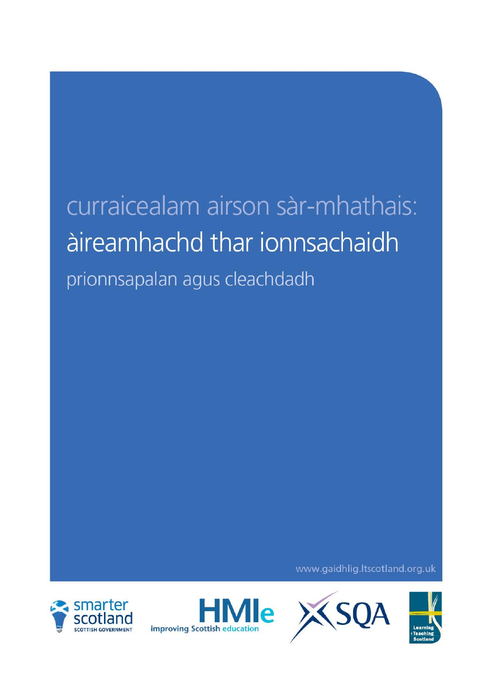# curraicealam airson sàr-mhathais: àireamhachd thar ionnsachaidh prionnsapalan agus cleachdadh

www.gaidhlig.ltscotland.org.uk





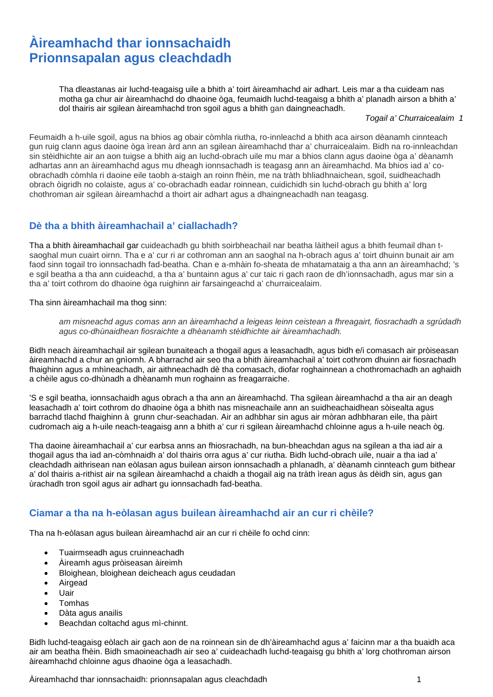# **Àireamhachd thar ionnsachaidh Prionnsapalan agus cleachdadh**

Tha dleastanas air luchd-teagaisg uile a bhith a' toirt àireamhachd air adhart. Leis mar a tha cuideam nas motha ga chur air àireamhachd do dhaoine òga, feumaidh luchd-teagaisg a bhith a' planadh airson a bhith a' dol thairis air sgilean àireamhachd tron sgoil agus a bhith gan daingneachadh.

*Togail a' Churraicealaim 1*

Feumaidh a h-uile sgoil, agus na bhios ag obair còmhla riutha, ro-innleachd a bhith aca airson dèanamh cinnteach gun ruig clann agus daoine òga ìrean àrd ann an sgilean àireamhachd thar a' churraicealaim. Bidh na ro-innleachdan sin stèidhichte air an aon tuigse a bhith aig an luchd-obrach uile mu mar a bhios clann agus daoine òga a' dèanamh adhartas ann an àireamhachd agus mu dheagh ionnsachadh is teagasg ann an àireamhachd. Ma bhios iad a' coobrachadh còmhla ri daoine eile taobh a-staigh an roinn fhèin, me na tràth bhliadhnaichean, sgoil, suidheachadh obrach òigridh no colaiste, agus a' co-obrachadh eadar roinnean, cuidichidh sin luchd-obrach gu bhith a' lorg chothroman air sgilean àireamhachd a thoirt air adhart agus a dhaingneachadh nan teagasg.

#### **Dè tha a bhith àireamhachail a' ciallachadh?**

Tha a bhith àireamhachail gar cuideachadh gu bhith soirbheachail nar beatha làitheil agus a bhith feumail dhan tsaoghal mun cuairt oirnn. Tha e a' cur ri ar cothroman ann an saoghal na h-obrach agus a' toirt dhuinn bunait air am faod sinn togail tro ionnsachadh fad-beatha. Chan e a-mhàin fo-sheata de mhatamataig a tha ann an àireamhachd; 's e sgil beatha a tha ann cuideachd, a tha a' buntainn agus a' cur taic ri gach raon de dh'ionnsachadh, agus mar sin a tha a' toirt cothrom do dhaoine òga ruighinn air farsaingeachd a' churraicealaim.

Tha sinn àireamhachail ma thog sinn:

*am misneachd agus comas ann an àireamhachd a leigeas leinn ceistean a fhreagairt, fiosrachadh a sgrùdadh agus co-dhùnaidhean fiosraichte a dhèanamh stèidhichte air àireamhachadh.* 

Bidh neach àireamhachail air sgilean bunaiteach a thogail agus a leasachadh, agus bidh e/i comasach air pròiseasan àireamhachd a chur an gnìomh. A bharrachd air seo tha a bhith àireamhachail a' toirt cothrom dhuinn air fiosrachadh fhaighinn agus a mhìneachadh, air aithneachadh dè tha comasach, diofar roghainnean a chothromachadh an aghaidh a chèile agus co-dhùnadh a dhèanamh mun roghainn as freagarraiche.

'S e sgil beatha, ionnsachaidh agus obrach a tha ann an àireamhachd. Tha sgilean àireamhachd a tha air an deagh leasachadh a' toirt cothrom do dhaoine òga a bhith nas misneachaile ann an suidheachaidhean sòisealta agus barrachd tlachd fhaighinn à grunn chur-seachadan. Air an adhbhar sin agus air mòran adhbharan eile, tha pàirt cudromach aig a h-uile neach-teagaisg ann a bhith a' cur ri sgilean àireamhachd chloinne agus a h-uile neach òg.

Tha daoine àireamhachail a' cur earbsa anns an fhiosrachadh, na bun-bheachdan agus na sgilean a tha iad air a thogail agus tha iad an-còmhnaidh a' dol thairis orra agus a' cur riutha. Bidh luchd-obrach uile, nuair a tha iad a' cleachdadh aithrisean nan eòlasan agus builean airson ionnsachadh a phlanadh, a' dèanamh cinnteach gum bithear a' dol thairis a-rithist air na sgilean àireamhachd a chaidh a thogail aig na tràth ìrean agus às dèidh sin, agus gan ùrachadh tron sgoil agus air adhart gu ionnsachadh fad-beatha.

#### **Ciamar a tha na h-eòlasan agus builean àireamhachd air an cur ri chèile?**

Tha na h-eòlasan agus builean àireamhachd air an cur ri chèile fo ochd cinn:

- Tuairmseadh agus cruinneachadh
- Àireamh agus pròiseasan àireimh
- Bloighean, bloighean deicheach agus ceudadan
- **Airgead**
- Uair
- Tomhas
- Dàta agus anailis
- Beachdan coltachd agus mì-chinnt.

Bidh luchd-teagaisg eòlach air gach aon de na roinnean sin de dh'àireamhachd agus a' faicinn mar a tha buaidh aca air am beatha fhèin. Bidh smaoineachadh air seo a' cuideachadh luchd-teagaisg gu bhith a' lorg chothroman airson àireamhachd chloinne agus dhaoine òga a leasachadh.

Àireamhachd thar ionnsachaidh: prionnsapalan agus cleachdadh 1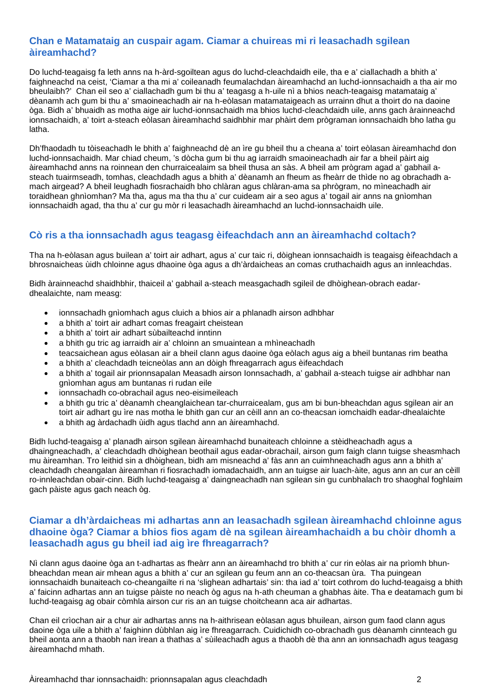#### **Chan e Matamataig an cuspair agam. Ciamar a chuireas mi ri leasachadh sgilean àireamhachd?**

Do luchd-teagaisg fa leth anns na h-àrd-sgoiltean agus do luchd-cleachdaidh eile, tha e a' ciallachadh a bhith a' faighneachd na ceist, 'Ciamar a tha mi a' coileanadh feumalachdan àireamhachd an luchd-ionnsachaidh a tha air mo bheulaibh?' Chan eil seo a' ciallachadh gum bi thu a' teagasg a h-uile nì a bhios neach-teagaisg matamataig a' dèanamh ach gum bi thu a' smaoineachadh air na h-eòlasan matamataigeach as urrainn dhut a thoirt do na daoine òga. Bidh a' bhuaidh as motha aige air luchd-ionnsachaidh ma bhios luchd-cleachdaidh uile, anns gach àrainneachd ionnsachaidh, a' toirt a-steach eòlasan àireamhachd saidhbhir mar phàirt dem prògraman ionnsachaidh bho latha gu latha.

Dh'fhaodadh tu tòiseachadh le bhith a' faighneachd dè an ìre gu bheil thu a cheana a' toirt eòlasan àireamhachd don luchd-ionnsachaidh. Mar chiad cheum, 's dòcha gum bi thu ag iarraidh smaoineachadh air far a bheil pàirt aig àireamhachd anns na roinnean den churraicealaim sa bheil thusa an sàs. A bheil am prògram agad a' gabhail asteach tuairmseadh, tomhas, cleachdadh agus a bhith a' dèanamh an fheum as fheàrr de thìde no ag obrachadh amach airgead? A bheil leughadh fiosrachaidh bho chlàran agus chlàran-ama sa phrògram, no mìneachadh air toraidhean ghnìomhan? Ma tha, agus ma tha thu a' cur cuideam air a seo agus a' togail air anns na gnìomhan ionnsachaidh agad, tha thu a' cur gu mòr ri leasachadh àireamhachd an luchd-ionnsachaidh uile.

## **Cò ris a tha ionnsachadh agus teagasg èifeachdach ann an àireamhachd coltach?**

Tha na h-eòlasan agus builean a' toirt air adhart, agus a' cur taic ri, dòighean ionnsachaidh is teagaisg èifeachdach a bhrosnaicheas ùidh chloinne agus dhaoine òga agus a dh'àrdaicheas an comas cruthachaidh agus an innleachdas.

Bidh àrainneachd shaidhbhir, thaiceil a' gabhail a-steach measgachadh sgileil de dhòighean-obrach eadardhealaichte, nam measg:

- ionnsachadh gnìomhach agus cluich a bhios air a phlanadh airson adhbhar
- a bhith a' toirt air adhart comas freagairt cheistean
- a bhith a' toirt air adhart sùbailteachd inntinn
- a bhith gu tric ag iarraidh air a' chloinn an smuaintean a mhìneachadh
- teacsaichean agus eòlasan air a bheil clann agus daoine òga eòlach agus aig a bheil buntanas rim beatha
- a bhith a' cleachdadh teicneòlas ann an dòigh fhreagarrach agus èifeachdach
- a bhith a' togail air prionnsapalan Measadh airson Ionnsachadh, a' gabhail a-steach tuigse air adhbhar nan gnìomhan agus am buntanas ri rudan eile
- ionnsachadh co-obrachail agus neo-eisimeileach
- a bhith gu tric a' dèanamh cheanglaichean tar-churraicealam, gus am bi bun-bheachdan agus sgilean air an toirt air adhart gu ìre nas motha le bhith gan cur an cèill ann an co-theacsan iomchaidh eadar-dhealaichte
- a bhith ag àrdachadh ùidh agus tlachd ann an àireamhachd.

Bidh luchd-teagaisg a' planadh airson sgilean àireamhachd bunaiteach chloinne a stèidheachadh agus a dhaingneachadh, a' cleachdadh dhòighean beothail agus eadar-obrachail, airson gum faigh clann tuigse sheasmhach mu àireamhan. Tro leithid sin a dhòighean, bidh am misneachd a' fàs ann an cuimhneachadh agus ann a bhith a' cleachdadh cheangalan àireamhan ri fiosrachadh iomadachaidh, ann an tuigse air luach-àite, agus ann an cur an cèill ro-innleachdan obair-cinn. Bidh luchd-teagaisg a' daingneachadh nan sgilean sin gu cunbhalach tro shaoghal foghlaim gach pàiste agus gach neach òg.

## **Ciamar a dh'àrdaicheas mi adhartas ann an leasachadh sgilean àireamhachd chloinne agus dhaoine òga? Ciamar a bhios fios agam dè na sgilean àireamhachaidh a bu chòir dhomh a leasachadh agus gu bheil iad aig ìre fhreagarrach?**

Nì clann agus daoine òga an t-adhartas as fheàrr ann an àireamhachd tro bhith a' cur rin eòlas air na prìomh bhunbheachdan mean air mhean agus a bhith a' cur an sgilean gu feum ann an co-theacsan ùra. Tha puingean ionnsachaidh bunaiteach co-cheangailte ri na 'slighean adhartais' sin: tha iad a' toirt cothrom do luchd-teagaisg a bhith a' faicinn adhartas ann an tuigse pàiste no neach òg agus na h-ath cheuman a ghabhas àite. Tha e deatamach gum bi luchd-teagaisg ag obair còmhla airson cur ris an an tuigse choitcheann aca air adhartas.

Chan eil crìochan air a chur air adhartas anns na h-aithrisean eòlasan agus bhuilean, airson gum faod clann agus daoine òga uile a bhith a' faighinn dùbhlan aig ìre fhreagarrach. Cuidichidh co-obrachadh gus dèanamh cinnteach gu bheil aonta ann a thaobh nan ìrean a thathas a' sùileachadh agus a thaobh dè tha ann an ionnsachadh agus teagasg àireamhachd mhath.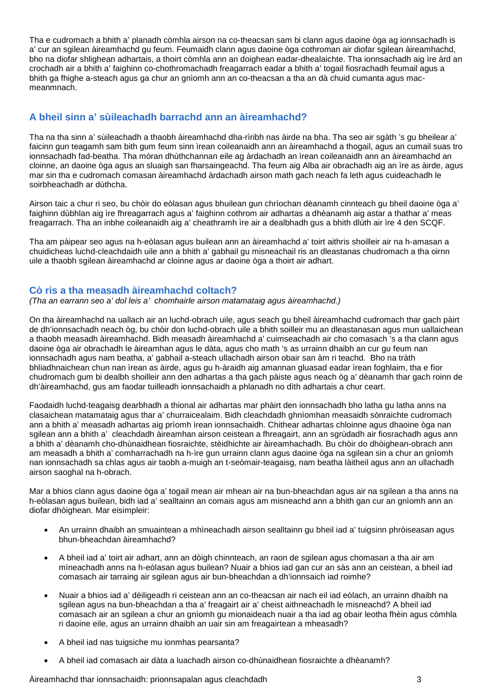Tha e cudromach a bhith a' planadh còmhla airson na co-theacsan sam bi clann agus daoine òga ag ionnsachadh is a' cur an sgilean àireamhachd gu feum. Feumaidh clann agus daoine òga cothroman air diofar sgilean àireamhachd, bho na diofar shlighean adhartais, a thoirt còmhla ann an doighean eadar-dhealaichte. Tha ionnsachadh aig ìre àrd an crochadh air a bhith a' faighinn co-chothromachadh freagarrach eadar a bhith a' togail fiosrachadh feumail agus a bhith ga fhighe a-steach agus ga chur an gnìomh ann an co-theacsan a tha an dà chuid cumanta agus macmeanmnach.

#### **A bheil sinn a' sùileachadh barrachd ann an àireamhachd?**

Tha na tha sinn a' sùileachadh a thaobh àireamhachd dha-rìribh nas àirde na bha. Tha seo air sgàth 's gu bheilear a' faicinn gun teagamh sam bith gum feum sinn ìrean coileanaidh ann an àireamhachd a thogail, agus an cumail suas tro ionnsachadh fad-beatha. Tha mòran dhùthchannan eile ag àrdachadh an ìrean coileanaidh ann an àireamhachd an cloinne, an daoine òga agus an sluaigh san fharsaingeachd. Tha feum aig Alba air obrachadh aig an ìre as àirde, agus mar sin tha e cudromach comasan àireamhachd àrdachadh airson math gach neach fa leth agus cuideachadh le soirbheachadh ar dùthcha.

Airson taic a chur ri seo, bu chòir do eòlasan agus bhuilean gun chrìochan dèanamh cinnteach gu bheil daoine òga a' faighinn dùbhlan aig ìre fhreagarrach agus a' faighinn cothrom air adhartas a dhèanamh aig astar a thathar a' meas freagarrach. Tha an inbhe coileanaidh aig a' cheathramh ìre air a dealbhadh gus a bhith dlùth air ìre 4 den SCQF.

Tha am pàipear seo agus na h-eòlasan agus builean ann an àireamhachd a' toirt aithris shoilleir air na h-amasan a chuidicheas luchd-cleachdaidh uile ann a bhith a' gabhail gu misneachail ris an dleastanas chudromach a tha oirnn uile a thaobh sgilean àireamhachd ar cloinne agus ar daoine òga a thoirt air adhart.

#### **Cò ris a tha measadh àireamhachd coltach?**

*(Tha an earrann seo a' dol leis a' chomhairle airson matamataig agus àireamhachd.)* 

On tha àireamhachd na uallach air an luchd-obrach uile, agus seach gu bheil àireamhachd cudromach thar gach pàirt de dh'ionnsachadh neach òg, bu chòir don luchd-obrach uile a bhith soilleir mu an dleastanasan agus mun uallaichean a thaobh measadh àireamhachd. Bidh measadh àireamhachd a' cuimseachadh air cho comasach 's a tha clann agus daoine òga air obrachadh le àireamhan agus le dàta, agus cho math 's as urrainn dhaibh an cur gu feum nan ionnsachadh agus nam beatha, a' gabhail a-steach ullachadh airson obair san àm ri teachd. Bho na tràth bhliadhnaichean chun nan ìrean as àirde, agus gu h-àraidh aig amannan gluasad eadar ìrean foghlaim, tha e fìor chudromach gum bi dealbh shoilleir ann den adhartas a tha gach pàiste agus neach òg a' dèanamh thar gach roinn de dh'àireamhachd, gus am faodar tuilleadh ionnsachaidh a phlanadh no dìth adhartais a chur ceart.

Faodaidh luchd-teagaisg dearbhadh a thional air adhartas mar phàirt den ionnsachadh bho latha gu latha anns na clasaichean matamataig agus thar a' churraicealaim. Bidh cleachdadh ghnìomhan measaidh sònraichte cudromach ann a bhith a' measadh adhartas aig prìomh ìrean ionnsachaidh. Chithear adhartas chloinne agus dhaoine òga nan sgilean ann a bhith a' cleachdadh àireamhan airson ceistean a fhreagairt, ann an sgrùdadh air fiosrachadh agus ann a bhith a' dèanamh cho-dhùnaidhean fiosraichte, stèidhichte air àireamhachadh. Bu chòir do dhòighean-obrach ann am measadh a bhith a' comharrachadh na h-ìre gun urrainn clann agus daoine òga na sgilean sin a chur an gnìomh nan ionnsachadh sa chlas agus air taobh a-muigh an t-seòmair-teagaisg, nam beatha làitheil agus ann an ullachadh airson saoghal na h-obrach.

Mar a bhios clann agus daoine òga a' togail mean air mhean air na bun-bheachdan agus air na sgilean a tha anns na h-eòlasan agus builean, bidh iad a' sealltainn an comais agus am misneachd ann a bhith gan cur an gnìomh ann an diofar dhòighean. Mar eisimpleir:

- An urrainn dhaibh an smuaintean a mhìneachadh airson sealltainn gu bheil iad a' tuigsinn phròiseasan agus bhun-bheachdan àireamhachd?
- A bheil iad a' toirt air adhart, ann an dòigh chinnteach, an raon de sgilean agus chomasan a tha air am mìneachadh anns na h-eòlasan agus builean? Nuair a bhios iad gan cur an sàs ann an ceistean, a bheil iad comasach air tarraing air sgilean agus air bun-bheachdan a dh'ionnsaich iad roimhe?
- Nuair a bhios iad a' dèiligeadh ri ceistean ann an co-theacsan air nach eil iad eòlach, an urrainn dhaibh na sgilean agus na bun-bheachdan a tha a' freagairt air a' cheist aithneachadh le misneachd? A bheil iad comasach air an sgilean a chur an gnìomh gu mionaideach nuair a tha iad ag obair leotha fhèin agus còmhla ri daoine eile, agus an urrainn dhaibh an uair sin am freagairtean a mheasadh?
- A bheil iad nas tuigsiche mu ionmhas pearsanta?
- A bheil iad comasach air dàta a luachadh airson co-dhùnaidhean fiosraichte a dhèanamh?

Àireamhachd thar ionnsachaidh: prionnsapalan agus cleachdadh 3